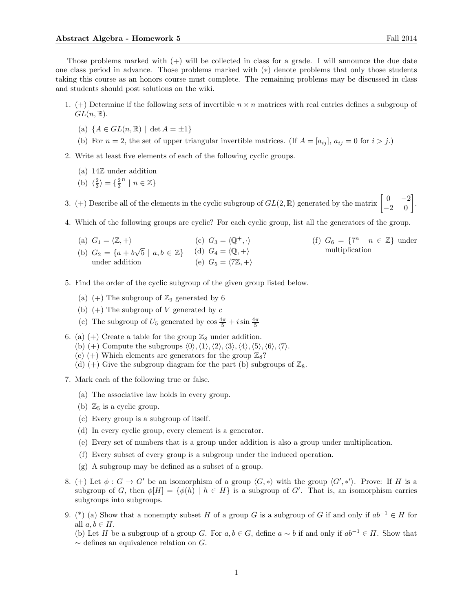Those problems marked with  $(+)$  will be collected in class for a grade. I will announce the due date one class period in advance. Those problems marked with (∗) denote problems that only those students taking this course as an honors course must complete. The remaining problems may be discussed in class and students should post solutions on the wiki.

- 1. (+) Determine if the following sets of invertible  $n \times n$  matrices with real entries defines a subgroup of  $GL(n,\mathbb{R}).$ 
	- (a)  $\{A \in GL(n, \mathbb{R}) \mid \det A = \pm 1\}$
	- (b) For  $n = 2$ , the set of upper triangular invertible matrices. (If  $A = [a_{ij}]$ ,  $a_{ij} = 0$  for  $i > j$ .)
- 2. Write at least five elements of each of the following cyclic groups.
	- (a) 14Z under addition
	- (b)  $\langle \frac{2}{3} \rangle = \{\frac{2}{3} \}$  $n \mid n \in \mathbb{Z}$

3. (+) Describe all of the elements in the cyclic subgroup of  $GL(2,\mathbb{R})$  generated by the matrix  $\begin{bmatrix} 0 & -2 \\ -2 & 0 \end{bmatrix}$ .

4. Which of the following groups are cyclic? For each cyclic group, list all the generators of the group.

- (a)  $G_1 = \langle \mathbb{Z}, +\rangle$ (b)  $G_2 = \{a + b\}$  $\sqrt{5} \mid a, b \in \mathbb{Z} \}$ under addition (c)  $G_3 = \langle \mathbb{Q}^+, \cdot \rangle$ (d)  $G_4 = \langle \mathbb{Q}, + \rangle$ (e)  $G_5 = \langle 7\mathbb{Z}, +\rangle$ (f)  $G_6 = \{7^n \mid n \in \mathbb{Z}\}\$  under multiplication
- 5. Find the order of the cyclic subgroup of the given group listed below.
	- (a) (+) The subgroup of  $\mathbb{Z}_9$  generated by 6
	- (b)  $(+)$  The subgroup of V generated by c
	- (c) The subgroup of  $U_5$  generated by  $\cos \frac{4\pi}{5} + i \sin \frac{4\pi}{5}$
- 6. (a) (+) Create a table for the group  $\mathbb{Z}_8$  under addition.
	- (b) (+) Compute the subgroups  $\langle 0 \rangle$ ,  $\langle 1 \rangle$ ,  $\langle 2 \rangle$ ,  $\langle 3 \rangle$ ,  $\langle 4 \rangle$ ,  $\langle 5 \rangle$ ,  $\langle 6 \rangle$ ,  $\langle 7 \rangle$ .
	- (c) (+) Which elements are generators for the group  $\mathbb{Z}_8$ ?
	- (d) (+) Give the subgroup diagram for the part (b) subgroups of  $\mathbb{Z}_8$ .
- 7. Mark each of the following true or false.
	- (a) The associative law holds in every group.
	- (b)  $\mathbb{Z}_5$  is a cyclic group.
	- (c) Every group is a subgroup of itself.
	- (d) In every cyclic group, every element is a generator.
	- (e) Every set of numbers that is a group under addition is also a group under multiplication.
	- (f) Every subset of every group is a subgroup under the induced operation.
	- (g) A subgroup may be defined as a subset of a group.
- 8. (+) Let  $\phi : G \to G'$  be an isomorphism of a group  $\langle G, * \rangle$  with the group  $\langle G', * \rangle$ . Prove: If H is a subgroup of G, then  $\phi[H] = {\phi(h) | h \in H}$  is a subgroup of G'. That is, an isomorphism carries subgroups into subgroups.
- 9. (\*) (a) Show that a nonempty subset H of a group G is a subgroup of G if and only if  $ab^{-1} \in H$  for all  $a, b \in H$ .

(b) Let H be a subgroup of a group G. For  $a, b \in G$ , define  $a \sim b$  if and only if  $ab^{-1} \in H$ . Show that  $\sim$  defines an equivalence relation on G.